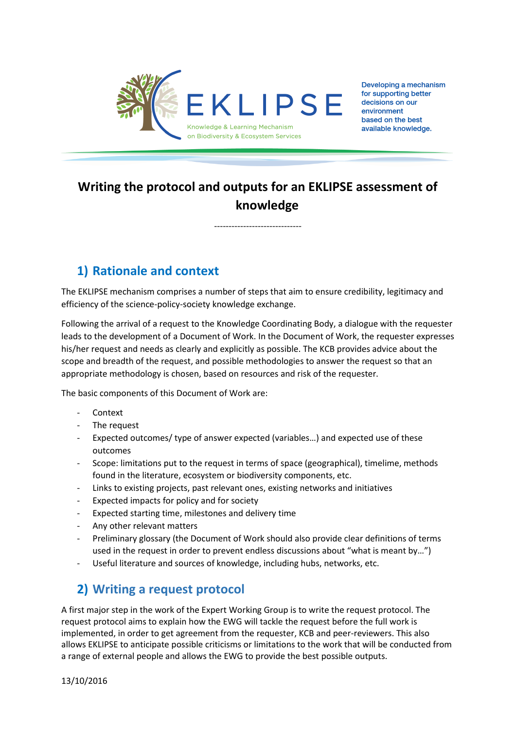

Developing a mechanism for supporting better decisions on our environment based on the best available knowledge.

# **Writing the protocol and outputs for an EKLIPSE assessment of knowledge**

------------------------------

### **1) Rationale and context**

The EKLIPSE mechanism comprises a number of steps that aim to ensure credibility, legitimacy and efficiency of the science-policy-society knowledge exchange.

Following the arrival of a request to the Knowledge Coordinating Body, a dialogue with the requester leads to the development of a Document of Work. In the Document of Work, the requester expresses his/her request and needs as clearly and explicitly as possible. The KCB provides advice about the scope and breadth of the request, and possible methodologies to answer the request so that an appropriate methodology is chosen, based on resources and risk of the requester.

The basic components of this Document of Work are:

- **Context**
- The request
- Expected outcomes/ type of answer expected (variables...) and expected use of these outcomes
- Scope: limitations put to the request in terms of space (geographical), timelime, methods found in the literature, ecosystem or biodiversity components, etc.
- Links to existing projects, past relevant ones, existing networks and initiatives
- Expected impacts for policy and for society
- Expected starting time, milestones and delivery time
- Any other relevant matters
- Preliminary glossary (the Document of Work should also provide clear definitions of terms used in the request in order to prevent endless discussions about "what is meant by…")
- Useful literature and sources of knowledge, including hubs, networks, etc.

## **2) Writing a request protocol**

A first major step in the work of the Expert Working Group is to write the request protocol. The request protocol aims to explain how the EWG will tackle the request before the full work is implemented, in order to get agreement from the requester, KCB and peer-reviewers. This also allows EKLIPSE to anticipate possible criticisms or limitations to the work that will be conducted from a range of external people and allows the EWG to provide the best possible outputs.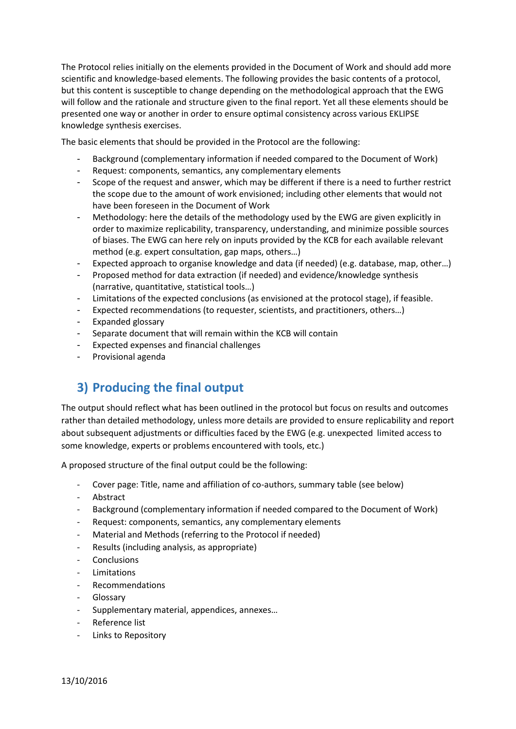The Protocol relies initially on the elements provided in the Document of Work and should add more scientific and knowledge-based elements. The following provides the basic contents of a protocol, but this content is susceptible to change depending on the methodological approach that the EWG will follow and the rationale and structure given to the final report. Yet all these elements should be presented one way or another in order to ensure optimal consistency across various EKLIPSE knowledge synthesis exercises.

The basic elements that should be provided in the Protocol are the following:

- Background (complementary information if needed compared to the Document of Work)
- Request: components, semantics, any complementary elements
- Scope of the request and answer, which may be different if there is a need to further restrict the scope due to the amount of work envisioned; including other elements that would not have been foreseen in the Document of Work
- Methodology: here the details of the methodology used by the EWG are given explicitly in order to maximize replicability, transparency, understanding, and minimize possible sources of biases. The EWG can here rely on inputs provided by the KCB for each available relevant method (e.g. expert consultation, gap maps, others…)
- Expected approach to organise knowledge and data (if needed) (e.g. database, map, other…)
- Proposed method for data extraction (if needed) and evidence/knowledge synthesis (narrative, quantitative, statistical tools…)
- Limitations of the expected conclusions (as envisioned at the protocol stage), if feasible.
- Expected recommendations (to requester, scientists, and practitioners, others...)
- Expanded glossary
- Separate document that will remain within the KCB will contain
- Expected expenses and financial challenges
- Provisional agenda

### **3) Producing the final output**

The output should reflect what has been outlined in the protocol but focus on results and outcomes rather than detailed methodology, unless more details are provided to ensure replicability and report about subsequent adjustments or difficulties faced by the EWG (e.g. unexpected limited access to some knowledge, experts or problems encountered with tools, etc.)

A proposed structure of the final output could be the following:

- Cover page: Title, name and affiliation of co-authors, summary table (see below)
- Abstract
- Background (complementary information if needed compared to the Document of Work)
- Request: components, semantics, any complementary elements
- Material and Methods (referring to the Protocol if needed)
- Results (including analysis, as appropriate)
- Conclusions
- **Limitations**
- Recommendations
- **Glossary**
- Supplementary material, appendices, annexes…
- Reference list
- Links to Repository